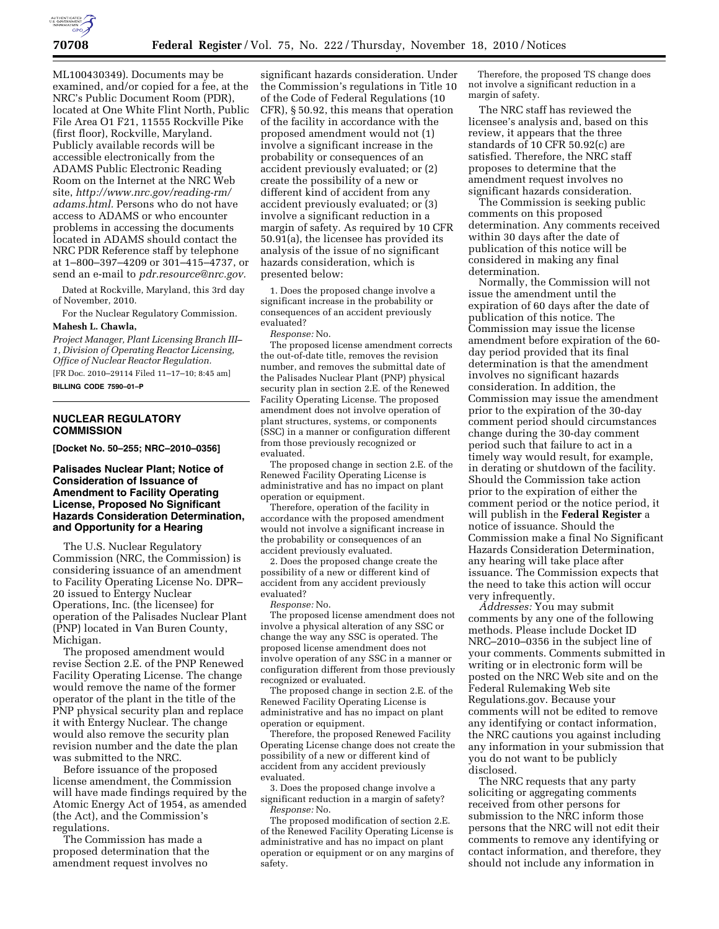

ML100430349). Documents may be examined, and/or copied for a fee, at the NRC's Public Document Room (PDR), located at One White Flint North, Public File Area O1 F21, 11555 Rockville Pike (first floor), Rockville, Maryland. Publicly available records will be accessible electronically from the ADAMS Public Electronic Reading Room on the Internet at the NRC Web site, *[http://www.nrc.gov/reading-rm/](http://www.nrc.gov/reading-rm/adams.html)  [adams.html.](http://www.nrc.gov/reading-rm/adams.html)* Persons who do not have access to ADAMS or who encounter problems in accessing the documents located in ADAMS should contact the NRC PDR Reference staff by telephone at 1–800–397–4209 or 301–415–4737, or send an e-mail to *[pdr.resource@nrc.gov.](mailto:pdr.resource@nrc.gov)* 

Dated at Rockville, Maryland, this 3rd day of November, 2010.

For the Nuclear Regulatory Commission.

## **Mahesh L. Chawla,**

*Project Manager, Plant Licensing Branch III– 1, Division of Operating Reactor Licensing, Office of Nuclear Reactor Regulation.* 

[FR Doc. 2010–29114 Filed 11–17–10; 8:45 am] **BILLING CODE 7590–01–P** 

## **NUCLEAR REGULATORY COMMISSION**

**[Docket No. 50–255; NRC–2010–0356]** 

## **Palisades Nuclear Plant; Notice of Consideration of Issuance of Amendment to Facility Operating License, Proposed No Significant Hazards Consideration Determination, and Opportunity for a Hearing**

The U.S. Nuclear Regulatory Commission (NRC, the Commission) is considering issuance of an amendment to Facility Operating License No. DPR– 20 issued to Entergy Nuclear Operations, Inc. (the licensee) for operation of the Palisades Nuclear Plant (PNP) located in Van Buren County, Michigan.

The proposed amendment would revise Section 2.E. of the PNP Renewed Facility Operating License. The change would remove the name of the former operator of the plant in the title of the PNP physical security plan and replace it with Entergy Nuclear. The change would also remove the security plan revision number and the date the plan was submitted to the NRC.

Before issuance of the proposed license amendment, the Commission will have made findings required by the Atomic Energy Act of 1954, as amended (the Act), and the Commission's regulations.

The Commission has made a proposed determination that the amendment request involves no

significant hazards consideration. Under the Commission's regulations in Title 10 of the Code of Federal Regulations (10 CFR), § 50.92, this means that operation of the facility in accordance with the proposed amendment would not (1) involve a significant increase in the probability or consequences of an accident previously evaluated; or (2) create the possibility of a new or different kind of accident from any accident previously evaluated; or (3) involve a significant reduction in a margin of safety. As required by 10 CFR 50.91(a), the licensee has provided its analysis of the issue of no significant hazards consideration, which is presented below:

1. Does the proposed change involve a significant increase in the probability or consequences of an accident previously evaluated?

### *Response:* No.

The proposed license amendment corrects the out-of-date title, removes the revision number, and removes the submittal date of the Palisades Nuclear Plant (PNP) physical security plan in section 2.E. of the Renewed Facility Operating License. The proposed amendment does not involve operation of plant structures, systems, or components (SSC) in a manner or configuration different from those previously recognized or evaluated.

The proposed change in section 2.E. of the Renewed Facility Operating License is administrative and has no impact on plant operation or equipment.

Therefore, operation of the facility in accordance with the proposed amendment would not involve a significant increase in the probability or consequences of an accident previously evaluated.

2. Does the proposed change create the possibility of a new or different kind of accident from any accident previously evaluated?

*Response:* No.

The proposed license amendment does not involve a physical alteration of any SSC or change the way any SSC is operated. The proposed license amendment does not involve operation of any SSC in a manner or configuration different from those previously recognized or evaluated.

The proposed change in section 2.E. of the Renewed Facility Operating License is administrative and has no impact on plant operation or equipment.

Therefore, the proposed Renewed Facility Operating License change does not create the possibility of a new or different kind of accident from any accident previously evaluated.

3. Does the proposed change involve a significant reduction in a margin of safety? *Response:* No.

The proposed modification of section 2.E. of the Renewed Facility Operating License is administrative and has no impact on plant operation or equipment or on any margins of safety.

Therefore, the proposed TS change does not involve a significant reduction in a margin of safety.

The NRC staff has reviewed the licensee's analysis and, based on this review, it appears that the three standards of 10 CFR 50.92(c) are satisfied. Therefore, the NRC staff proposes to determine that the amendment request involves no significant hazards consideration.

The Commission is seeking public comments on this proposed determination. Any comments received within 30 days after the date of publication of this notice will be considered in making any final determination.

Normally, the Commission will not issue the amendment until the expiration of 60 days after the date of publication of this notice. The Commission may issue the license amendment before expiration of the 60 day period provided that its final determination is that the amendment involves no significant hazards consideration. In addition, the Commission may issue the amendment prior to the expiration of the 30-day comment period should circumstances change during the 30-day comment period such that failure to act in a timely way would result, for example, in derating or shutdown of the facility. Should the Commission take action prior to the expiration of either the comment period or the notice period, it will publish in the **Federal Register** a notice of issuance. Should the Commission make a final No Significant Hazards Consideration Determination, any hearing will take place after issuance. The Commission expects that the need to take this action will occur very infrequently.

*Addresses:* You may submit comments by any one of the following methods. Please include Docket ID NRC–2010–0356 in the subject line of your comments. Comments submitted in writing or in electronic form will be posted on the NRC Web site and on the Federal Rulemaking Web site Regulations.gov. Because your comments will not be edited to remove any identifying or contact information, the NRC cautions you against including any information in your submission that you do not want to be publicly disclosed.

The NRC requests that any party soliciting or aggregating comments received from other persons for submission to the NRC inform those persons that the NRC will not edit their comments to remove any identifying or contact information, and therefore, they should not include any information in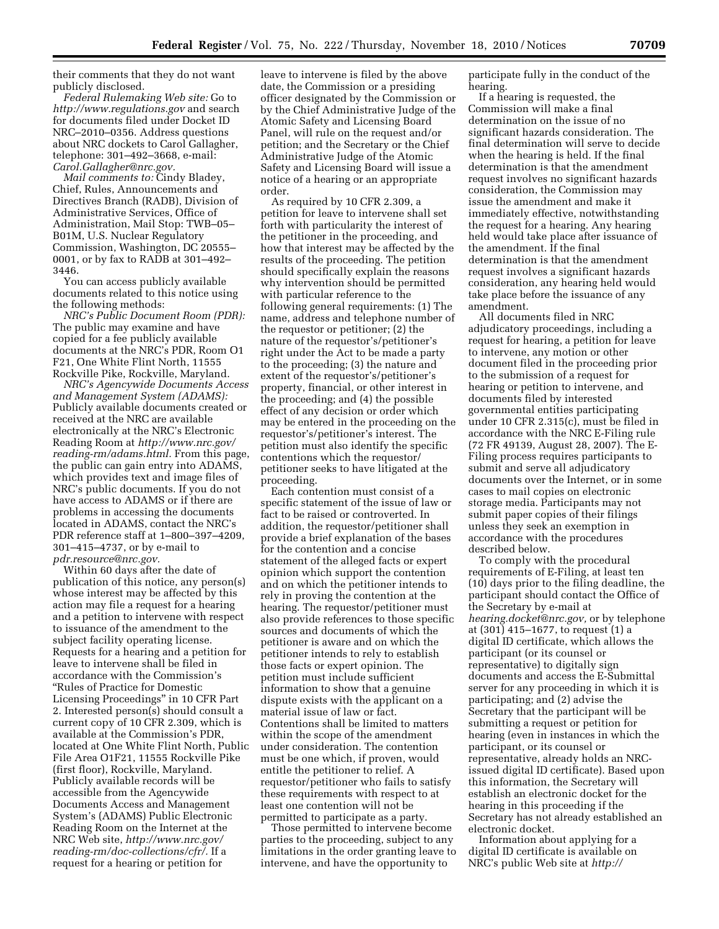their comments that they do not want publicly disclosed.

*Federal Rulemaking Web site:* Go to *<http://www.regulations.gov>* and search for documents filed under Docket ID NRC–2010–0356. Address questions about NRC dockets to Carol Gallagher, telephone: 301–492–3668, e-mail: *[Carol.Gallagher@nrc.gov.](mailto:Carol.Gallagher@nrc.gov)* 

*Mail comments to:* Cindy Bladey, Chief, Rules, Announcements and Directives Branch (RADB), Division of Administrative Services, Office of Administration, Mail Stop: TWB–05– B01M, U.S. Nuclear Regulatory Commission, Washington, DC 20555– 0001, or by fax to RADB at 301–492– 3446.

You can access publicly available documents related to this notice using the following methods:

*NRC's Public Document Room (PDR):*  The public may examine and have copied for a fee publicly available documents at the NRC's PDR, Room O1 F21, One White Flint North, 11555 Rockville Pike, Rockville, Maryland.

*NRC's Agencywide Documents Access and Management System (ADAMS):*  Publicly available documents created or received at the NRC are available electronically at the NRC's Electronic Reading Room at *[http://www.nrc.gov/](http://www.nrc.gov/reading-rm/adams.html)  [reading-rm/adams.html.](http://www.nrc.gov/reading-rm/adams.html)* From this page, the public can gain entry into ADAMS, which provides text and image files of NRC's public documents. If you do not have access to ADAMS or if there are problems in accessing the documents located in ADAMS, contact the NRC's PDR reference staff at 1–800–397–4209, 301–415–4737, or by e-mail to *[pdr.resource@nrc.gov.](mailto:pdr.resource@nrc.gov)* 

Within 60 days after the date of publication of this notice, any person(s) whose interest may be affected by this action may file a request for a hearing and a petition to intervene with respect to issuance of the amendment to the subject facility operating license. Requests for a hearing and a petition for leave to intervene shall be filed in accordance with the Commission's ''Rules of Practice for Domestic Licensing Proceedings'' in 10 CFR Part 2. Interested person(s) should consult a current copy of 10 CFR 2.309, which is available at the Commission's PDR, located at One White Flint North, Public File Area O1F21, 11555 Rockville Pike (first floor), Rockville, Maryland. Publicly available records will be accessible from the Agencywide Documents Access and Management System's (ADAMS) Public Electronic Reading Room on the Internet at the NRC Web site, *[http://www.nrc.gov/](http://www.nrc.gov/reading-rm/doc-collections/cfr/) [reading-rm/doc-collections/cfr/.](http://www.nrc.gov/reading-rm/doc-collections/cfr/)* If a request for a hearing or petition for

leave to intervene is filed by the above date, the Commission or a presiding officer designated by the Commission or by the Chief Administrative Judge of the Atomic Safety and Licensing Board Panel, will rule on the request and/or petition; and the Secretary or the Chief Administrative Judge of the Atomic Safety and Licensing Board will issue a notice of a hearing or an appropriate order.

As required by 10 CFR 2.309, a petition for leave to intervene shall set forth with particularity the interest of the petitioner in the proceeding, and how that interest may be affected by the results of the proceeding. The petition should specifically explain the reasons why intervention should be permitted with particular reference to the following general requirements: (1) The name, address and telephone number of the requestor or petitioner; (2) the nature of the requestor's/petitioner's right under the Act to be made a party to the proceeding; (3) the nature and extent of the requestor's/petitioner's property, financial, or other interest in the proceeding; and (4) the possible effect of any decision or order which may be entered in the proceeding on the requestor's/petitioner's interest. The petition must also identify the specific contentions which the requestor/ petitioner seeks to have litigated at the proceeding.

Each contention must consist of a specific statement of the issue of law or fact to be raised or controverted. In addition, the requestor/petitioner shall provide a brief explanation of the bases for the contention and a concise statement of the alleged facts or expert opinion which support the contention and on which the petitioner intends to rely in proving the contention at the hearing. The requestor/petitioner must also provide references to those specific sources and documents of which the petitioner is aware and on which the petitioner intends to rely to establish those facts or expert opinion. The petition must include sufficient information to show that a genuine dispute exists with the applicant on a material issue of law or fact. Contentions shall be limited to matters within the scope of the amendment under consideration. The contention must be one which, if proven, would entitle the petitioner to relief. A requestor/petitioner who fails to satisfy these requirements with respect to at least one contention will not be permitted to participate as a party.

Those permitted to intervene become parties to the proceeding, subject to any limitations in the order granting leave to intervene, and have the opportunity to

participate fully in the conduct of the hearing.

If a hearing is requested, the Commission will make a final determination on the issue of no significant hazards consideration. The final determination will serve to decide when the hearing is held. If the final determination is that the amendment request involves no significant hazards consideration, the Commission may issue the amendment and make it immediately effective, notwithstanding the request for a hearing. Any hearing held would take place after issuance of the amendment. If the final determination is that the amendment request involves a significant hazards consideration, any hearing held would take place before the issuance of any amendment.

All documents filed in NRC adjudicatory proceedings, including a request for hearing, a petition for leave to intervene, any motion or other document filed in the proceeding prior to the submission of a request for hearing or petition to intervene, and documents filed by interested governmental entities participating under 10 CFR 2.315(c), must be filed in accordance with the NRC E-Filing rule (72 FR 49139, August 28, 2007). The E-Filing process requires participants to submit and serve all adjudicatory documents over the Internet, or in some cases to mail copies on electronic storage media. Participants may not submit paper copies of their filings unless they seek an exemption in accordance with the procedures described below.

To comply with the procedural requirements of E-Filing, at least ten (10) days prior to the filing deadline, the participant should contact the Office of the Secretary by e-mail at *[hearing.docket@nrc.gov,](mailto:hearing.docket@nrc.gov)* or by telephone at (301) 415–1677, to request (1) a digital ID certificate, which allows the participant (or its counsel or representative) to digitally sign documents and access the E-Submittal server for any proceeding in which it is participating; and (2) advise the Secretary that the participant will be submitting a request or petition for hearing (even in instances in which the participant, or its counsel or representative, already holds an NRCissued digital ID certificate). Based upon this information, the Secretary will establish an electronic docket for the hearing in this proceeding if the Secretary has not already established an electronic docket.

Information about applying for a digital ID certificate is available on NRC's public Web site at *http://*